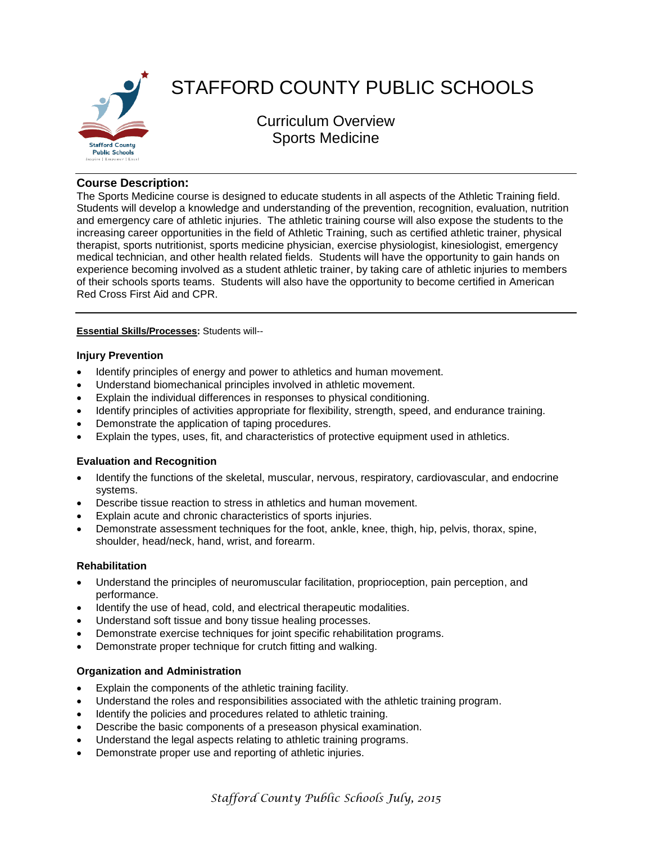

# STAFFORD COUNTY PUBLIC SCHOOLS

Curriculum Overview Sports Medicine

# **Course Description:**

The Sports Medicine course is designed to educate students in all aspects of the Athletic Training field. Students will develop a knowledge and understanding of the prevention, recognition, evaluation, nutrition and emergency care of athletic injuries. The athletic training course will also expose the students to the increasing career opportunities in the field of Athletic Training, such as certified athletic trainer, physical therapist, sports nutritionist, sports medicine physician, exercise physiologist, kinesiologist, emergency medical technician, and other health related fields. Students will have the opportunity to gain hands on experience becoming involved as a student athletic trainer, by taking care of athletic injuries to members of their schools sports teams. Students will also have the opportunity to become certified in American Red Cross First Aid and CPR.

## **Essential Skills/Processes:** Students will--

## **Injury Prevention**

- Identify principles of energy and power to athletics and human movement.
- Understand biomechanical principles involved in athletic movement.
- Explain the individual differences in responses to physical conditioning.
- Identify principles of activities appropriate for flexibility, strength, speed, and endurance training.
- Demonstrate the application of taping procedures.
- Explain the types, uses, fit, and characteristics of protective equipment used in athletics.

# **Evaluation and Recognition**

- Identify the functions of the skeletal, muscular, nervous, respiratory, cardiovascular, and endocrine systems.
- Describe tissue reaction to stress in athletics and human movement.
- Explain acute and chronic characteristics of sports injuries.
- Demonstrate assessment techniques for the foot, ankle, knee, thigh, hip, pelvis, thorax, spine, shoulder, head/neck, hand, wrist, and forearm.

#### **Rehabilitation**

- Understand the principles of neuromuscular facilitation, proprioception, pain perception, and performance.
- Identify the use of head, cold, and electrical therapeutic modalities.
- Understand soft tissue and bony tissue healing processes.
- Demonstrate exercise techniques for joint specific rehabilitation programs.
- Demonstrate proper technique for crutch fitting and walking.

# **Organization and Administration**

- Explain the components of the athletic training facility.
- Understand the roles and responsibilities associated with the athletic training program.
- Identify the policies and procedures related to athletic training.
- Describe the basic components of a preseason physical examination.
- Understand the legal aspects relating to athletic training programs.
- Demonstrate proper use and reporting of athletic injuries.